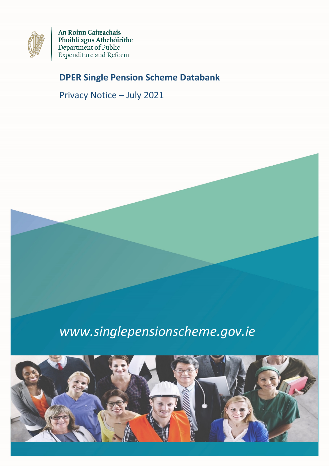

An Roinn Caiteachais Phoiblí agus Athchóirithe<br>Department of Public<br>Expenditure and Reform

# **DPER Single Pension Scheme Databank**

Privacy Notice – July 2021



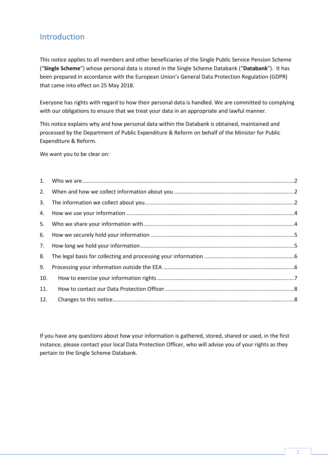#### Introduction

This notice applies to all members and other beneficiaries of the Single Public Service Pension Scheme ("**Single Scheme**") whose personal data is stored in the Single Scheme Databank ("**Databank**"). It has been prepared in accordance with the European Union's General Data Protection Regulation (GDPR) that came into effect on 25 May 2018.

Everyone has rights with regard to how their personal data is handled. We are committed to complying with our obligations to ensure that we treat your data in an appropriate and lawful manner.

This notice explains why and how personal data within the Databank is obtained, maintained and processed by the Department of Public Expenditure & Reform on behalf of the Minister for Public Expenditure & Reform.

We want you to be clear on:

| 2.  |  |
|-----|--|
| 3.  |  |
| 4.  |  |
| 5.  |  |
| 6.  |  |
| 7.  |  |
| 8.  |  |
| 9.  |  |
| 10. |  |
| 11. |  |
| 12. |  |

If you have any questions about how your information is gathered, stored, shared or used, in the first instance, please contact your local Data Protection Officer, who will advise you of your rights as they pertain to the Single Scheme Databank.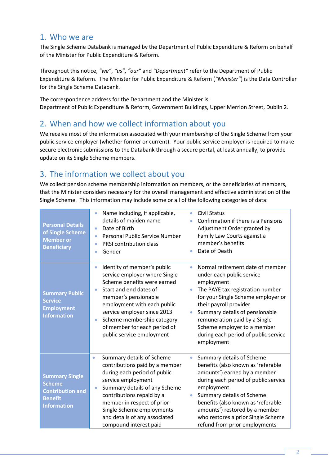#### <span id="page-2-0"></span>1. Who we are

The Single Scheme Databank is managed by the Department of Public Expenditure & Reform on behalf of the Minister for Public Expenditure & Reform.

Throughout this notice, *"we"*, *"us"*, *"our"* and *"Department"* refer to the Department of Public Expenditure & Reform. The Minister for Public Expenditure & Reform (*"Minister"*) is the Data Controller for the Single Scheme Databank.

The correspondence address for the Department and the Minister is: Department of Public Expenditure & Reform, Government Buildings, Upper Merrion Street, Dublin 2.

#### <span id="page-2-1"></span>2. When and how we collect information about you

We receive most of the information associated with your membership of the Single Scheme from your public service employer (whether former or current). Your public service employer is required to make secure electronic submissions to the Databank through a secure portal, at least annually, to provide update on its Single Scheme members.

# <span id="page-2-2"></span>3. The information we collect about you

We collect pension scheme membership information on members, or the beneficiaries of members, that the Minister considers necessary for the overall management and effective administration of the Single Scheme. This information may include some or all of the following categories of data:

| <b>Personal Details</b><br>of Single Scheme<br><b>Member or</b><br><b>Beneficiary</b>                     | Name including, if applicable,<br>$\bullet$<br>details of maiden name<br>Date of Birth<br>$\bullet$<br>Personal Public Service Number<br>٠<br>PRSI contribution class<br>٠<br>Gender<br>$\bullet$                                                                                                                                             | <b>Civil Status</b><br>Confirmation if there is a Pensions<br>Adjustment Order granted by<br>Family Law Courts against a<br>member's benefits<br>Date of Death                                                                                                                                                                                 |
|-----------------------------------------------------------------------------------------------------------|-----------------------------------------------------------------------------------------------------------------------------------------------------------------------------------------------------------------------------------------------------------------------------------------------------------------------------------------------|------------------------------------------------------------------------------------------------------------------------------------------------------------------------------------------------------------------------------------------------------------------------------------------------------------------------------------------------|
| <b>Summary Public</b><br><b>Service</b><br><b>Employment</b><br><b>Information</b>                        | Identity of member's public<br>$\bullet$<br>service employer where Single<br>Scheme benefits were earned<br>Start and end dates of<br>$\bullet$<br>member's pensionable<br>employment with each public<br>service employer since 2013<br>Scheme membership category<br>$\bullet$<br>of member for each period of<br>public service employment | Normal retirement date of member<br>under each public service<br>employment<br>The PAYE tax registration number<br>۰<br>for your Single Scheme employer or<br>their payroll provider<br>Summary details of pensionable<br>remuneration paid by a Single<br>Scheme employer to a member<br>during each period of public service<br>employment   |
| <b>Summary Single</b><br><b>Scheme</b><br><b>Contribution and</b><br><b>Benefit</b><br><b>Information</b> | Summary details of Scheme<br>$\bullet$<br>contributions paid by a member<br>during each period of public<br>service employment<br>Summary details of any Scheme<br>$\bullet$<br>contributions repaid by a<br>member in respect of prior<br>Single Scheme employments<br>and details of any associated<br>compound interest paid               | Summary details of Scheme<br>$\bullet$<br>benefits (also known as 'referable<br>amounts') earned by a member<br>during each period of public service<br>employment<br>Summary details of Scheme<br>benefits (also known as 'referable<br>amounts') restored by a member<br>who restores a prior Single Scheme<br>refund from prior employments |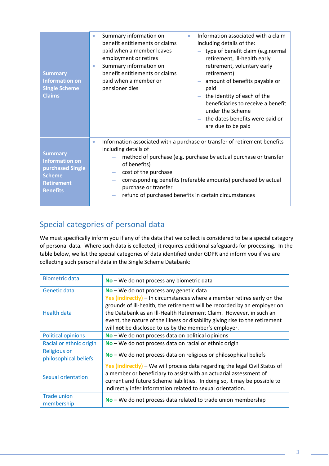| <b>Summary</b><br><b>Information on</b><br><b>Single Scheme</b><br><b>Claims</b>                                     | Information associated with a claim<br>Summary information on<br>۰<br>۰<br>benefit entitlements or claims<br>including details of the:<br>paid when a member leaves<br>- type of benefit claim (e.g.normal<br>employment or retires<br>retirement, ill-health early<br>Summary information on<br>retirement, voluntary early<br>۰<br>benefit entitlements or claims<br>retirement)<br>paid when a member or<br>- amount of benefits payable or<br>pensioner dies<br>paid<br>$-$ the identity of each of the<br>beneficiaries to receive a benefit<br>under the Scheme<br>$-$ the dates benefits were paid or<br>are due to be paid |  |
|----------------------------------------------------------------------------------------------------------------------|------------------------------------------------------------------------------------------------------------------------------------------------------------------------------------------------------------------------------------------------------------------------------------------------------------------------------------------------------------------------------------------------------------------------------------------------------------------------------------------------------------------------------------------------------------------------------------------------------------------------------------|--|
| <b>Summary</b><br><b>Information on</b><br>purchased Single<br><b>Scheme</b><br><b>Retirement</b><br><b>Benefits</b> | Information associated with a purchase or transfer of retirement benefits<br>$\bullet$<br>including details of<br>method of purchase (e.g. purchase by actual purchase or transfer<br>of benefits)<br>cost of the purchase<br>corresponding benefits (referable amounts) purchased by actual<br>purchase or transfer<br>refund of purchased benefits in certain circumstances                                                                                                                                                                                                                                                      |  |

# Special categories of personal data

We must specifically inform you if any of the data that we collect is considered to be a special category of personal data. Where such data is collected, it requires additional safeguards for processing. In the table below, we list the special categories of data identified under GDPR and inform you if we are collecting such personal data in the Single Scheme Databank:

| <b>Biometric data</b>                        | No - We do not process any biometric data                                                                                                                                                                                                                                                                                                                           |
|----------------------------------------------|---------------------------------------------------------------------------------------------------------------------------------------------------------------------------------------------------------------------------------------------------------------------------------------------------------------------------------------------------------------------|
| Genetic data                                 | $No$ – We do not process any genetic data                                                                                                                                                                                                                                                                                                                           |
| <b>Health data</b>                           | Yes (indirectly) – In circumstances where a member retires early on the<br>grounds of ill-health, the retirement will be recorded by an employer on<br>the Databank as an III-Health Retirement Claim. However, in such an<br>event, the nature of the illness or disability giving rise to the retirement<br>will not be disclosed to us by the member's employer. |
| <b>Political opinions</b>                    | No - We do not process data on political opinions                                                                                                                                                                                                                                                                                                                   |
| Racial or ethnic origin                      | No - We do not process data on racial or ethnic origin                                                                                                                                                                                                                                                                                                              |
| <b>Religious or</b><br>philosophical beliefs | No - We do not process data on religious or philosophical beliefs                                                                                                                                                                                                                                                                                                   |
| Sexual orientation                           | Yes (indirectly) - We will process data regarding the legal Civil Status of<br>a member or beneficiary to assist with an actuarial assessment of<br>current and future Scheme liabilities. In doing so, it may be possible to<br>indirectly infer information related to sexual orientation.                                                                        |
| <b>Trade union</b><br>membership             | No - We do not process data related to trade union membership                                                                                                                                                                                                                                                                                                       |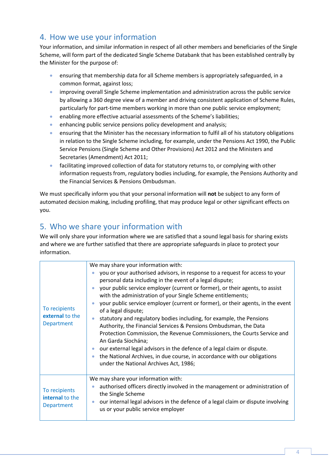#### <span id="page-4-0"></span>4. How we use your information

Your information, and similar information in respect of all other members and beneficiaries of the Single Scheme, will form part of the dedicated Single Scheme Databank that has been established centrally by the Minister for the purpose of:

- ensuring that membership data for all Scheme members is appropriately safeguarded, in a common format, against loss;
- improving overall Single Scheme implementation and administration across the public service by allowing a 360 degree view of a member and driving consistent application of Scheme Rules, particularly for part-time members working in more than one public service employment;
- enabling more effective actuarial assessments of the Scheme's liabilities;
- enhancing public service pensions policy development and analysis;
- ensuring that the Minister has the necessary information to fulfil all of his statutory obligations in relation to the Single Scheme including, for example, under the Pensions Act 1990, the Public Service Pensions (Single Scheme and Other Provisions) Act 2012 and the Ministers and Secretaries (Amendment) Act 2011;
- facilitating improved collection of data for statutory returns to, or complying with other information requests from, regulatory bodies including, for example, the Pensions Authority and the Financial Services & Pensions Ombudsman.

We must specifically inform you that your personal information will **not** be subject to any form of automated decision making, including profiling, that may produce legal or other significant effects on you.

# <span id="page-4-1"></span>5. Who we share your information with

We will only share your information where we are satisfied that a sound legal basis for sharing exists and where we are further satisfied that there are appropriate safeguards in place to protect your information.

| To recipients<br>external to the<br>Department | We may share your information with:<br>you or your authorised advisors, in response to a request for access to your<br>$\bullet$<br>personal data including in the event of a legal dispute;<br>your public service employer (current or former), or their agents, to assist<br>$\bullet$<br>with the administration of your Single Scheme entitlements;<br>your public service employer (current or former), or their agents, in the event<br>$\bullet$<br>of a legal dispute;<br>statutory and regulatory bodies including, for example, the Pensions<br>Authority, the Financial Services & Pensions Ombudsman, the Data<br>Protection Commission, the Revenue Commissioners, the Courts Service and<br>An Garda Síochána;<br>our external legal advisors in the defence of a legal claim or dispute.<br>the National Archives, in due course, in accordance with our obligations<br>$\bullet$<br>under the National Archives Act, 1986; |
|------------------------------------------------|---------------------------------------------------------------------------------------------------------------------------------------------------------------------------------------------------------------------------------------------------------------------------------------------------------------------------------------------------------------------------------------------------------------------------------------------------------------------------------------------------------------------------------------------------------------------------------------------------------------------------------------------------------------------------------------------------------------------------------------------------------------------------------------------------------------------------------------------------------------------------------------------------------------------------------------------|
|                                                |                                                                                                                                                                                                                                                                                                                                                                                                                                                                                                                                                                                                                                                                                                                                                                                                                                                                                                                                             |
| To recipients<br>internal to the<br>Department | We may share your information with:<br>authorised officers directly involved in the management or administration of<br>the Single Scheme<br>our internal legal advisors in the defence of a legal claim or dispute involving<br>$\bullet$<br>us or your public service employer                                                                                                                                                                                                                                                                                                                                                                                                                                                                                                                                                                                                                                                             |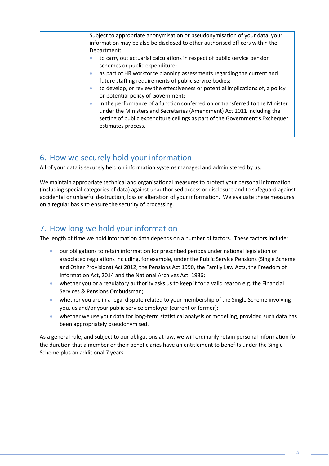| Subject to appropriate anonymisation or pseudonymisation of your data, your<br>information may be also be disclosed to other authorised officers within the                                                                                                               |
|---------------------------------------------------------------------------------------------------------------------------------------------------------------------------------------------------------------------------------------------------------------------------|
| Department:                                                                                                                                                                                                                                                               |
| to carry out actuarial calculations in respect of public service pension<br>$\bullet$<br>schemes or public expenditure;                                                                                                                                                   |
| as part of HR workforce planning assessments regarding the current and<br>future staffing requirements of public service bodies;                                                                                                                                          |
| to develop, or review the effectiveness or potential implications of, a policy<br>$\bullet$<br>or potential policy of Government;                                                                                                                                         |
| in the performance of a function conferred on or transferred to the Minister<br>$\bullet$<br>under the Ministers and Secretaries (Amendment) Act 2011 including the<br>setting of public expenditure ceilings as part of the Government's Exchequer<br>estimates process. |
|                                                                                                                                                                                                                                                                           |

# <span id="page-5-0"></span>6. How we securely hold your information

All of your data is securely held on information systems managed and administered by us.

We maintain appropriate technical and organisational measures to protect your personal information (including special categories of data) against unauthorised access or disclosure and to safeguard against accidental or unlawful destruction, loss or alteration of your information. We evaluate these measures on a regular basis to ensure the security of processing.

# <span id="page-5-1"></span>7. How long we hold your information

The length of time we hold information data depends on a number of factors. These factors include:

- our obligations to retain information for prescribed periods under national legislation or associated regulations including, for example, under the Public Service Pensions (Single Scheme and Other Provisions) Act 2012, the Pensions Act 1990, the Family Law Acts, the Freedom of Information Act, 2014 and the National Archives Act, 1986;
- whether you or a regulatory authority asks us to keep it for a valid reason e.g. the Financial Services & Pensions Ombudsman;
- whether you are in a legal dispute related to your membership of the Single Scheme involving you, us and/or your public service employer (current or former);
- whether we use your data for long-term statistical analysis or modelling, provided such data has been appropriately pseudonymised.

As a general rule, and subject to our obligations at law, we will ordinarily retain personal information for the duration that a member or their beneficiaries have an entitlement to benefits under the Single Scheme plus an additional 7 years.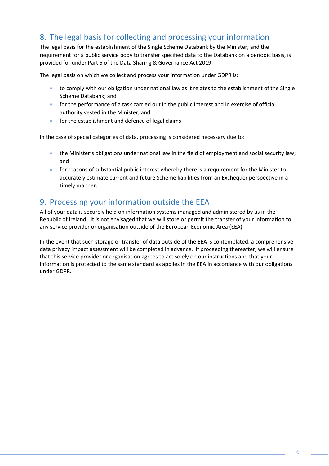# <span id="page-6-0"></span>8. The legal basis for collecting and processing your information

The legal basis for the establishment of the Single Scheme Databank by the Minister, and the requirement for a public service body to transfer specified data to the Databank on a periodic basis, is provided for under Part 5 of the Data Sharing & Governance Act 2019.

The legal basis on which we collect and process your information under GDPR is:

- to comply with our obligation under national law as it relates to the establishment of the Single Scheme Databank; and
- for the performance of a task carried out in the public interest and in exercise of official authority vested in the Minister; and
- for the establishment and defence of legal claims

In the case of special categories of data, processing is considered necessary due to:

- the Minister's obligations under national law in the field of employment and social security law; and
- for reasons of substantial public interest whereby there is a requirement for the Minister to accurately estimate current and future Scheme liabilities from an Exchequer perspective in a timely manner.

#### <span id="page-6-1"></span>9. Processing your information outside the EEA

All of your data is securely held on information systems managed and administered by us in the Republic of Ireland. It is not envisaged that we will store or permit the transfer of your information to any service provider or organisation outside of the European Economic Area (EEA).

In the event that such storage or transfer of data outside of the EEA is contemplated, a comprehensive data privacy impact assessment will be completed in advance. If proceeding thereafter, we will ensure that this service provider or organisation agrees to act solely on our instructions and that your information is protected to the same standard as applies in the EEA in accordance with our obligations under GDPR.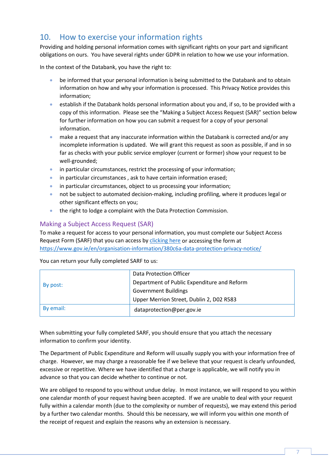# <span id="page-7-0"></span>10. How to exercise your information rights

Providing and holding personal information comes with significant rights on your part and significant obligations on ours. You have several rights under GDPR in relation to how we use your information.

In the context of the Databank, you have the right to:

- be informed that your personal information is being submitted to the Databank and to obtain information on how and why your information is processed. This Privacy Notice provides this information;
- establish if the Databank holds personal information about you and, if so, to be provided with a copy of this information. Please see the "Making a Subject Access Request (SAR)" section below for further information on how you can submit a request for a copy of your personal information.
- make a request that any inaccurate information within the Databank is corrected and/or any incomplete information is updated. We will grant this request as soon as possible, if and in so far as checks with your public service employer (current or former) show your request to be well-grounded;
- in particular circumstances, restrict the processing of your information;
- in particular circumstances, ask to have certain information erased;
- in particular circumstances, object to us processing your information;
- not be subject to automated decision-making, including profiling, where it produces legal or other significant effects on you;
- the right to lodge a complaint with the Data Protection Commission.

#### Making a Subject Access Request (SAR)

To make a request for access to your personal information, you must complete our Subject Access Request Form (SARF) that you can access by [clicking here](https://www.gov.ie/en/organisation-information/380c6a-data-protection-privacy-notice/) or accessing the form at <https://www.gov.ie/en/organisation-information/380c6a-data-protection-privacy-notice/>

You can return your fully completed SARF to us:

|           | Data Protection Officer                     |
|-----------|---------------------------------------------|
| By post:  | Department of Public Expenditure and Reform |
|           | <b>Government Buildings</b>                 |
|           | Upper Merrion Street, Dublin 2, D02 R583    |
| By email: | dataprotection@per.gov.ie                   |

When submitting your fully completed SARF, you should ensure that you attach the necessary information to confirm your identity.

The Department of Public Expenditure and Reform will usually supply you with your information free of charge. However, we may charge a reasonable fee if we believe that your request is clearly unfounded, excessive or repetitive. Where we have identified that a charge is applicable, we will notify you in advance so that you can decide whether to continue or not.

We are obliged to respond to you without undue delay. In most instance, we will respond to you within one calendar month of your request having been accepted. If we are unable to deal with your request fully within a calendar month (due to the complexity or number of requests), we may extend this period by a further two calendar months. Should this be necessary, we will inform you within one month of the receipt of request and explain the reasons why an extension is necessary.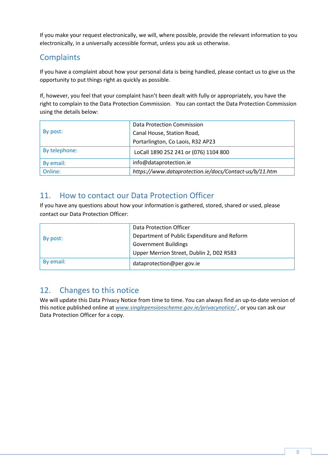If you make your request electronically, we will, where possible, provide the relevant information to you electronically, in a universally accessible format, unless you ask us otherwise.

# **Complaints**

If you have a complaint about how your personal data is being handled, please contact us to give us the opportunity to put things right as quickly as possible.

If, however, you feel that your complaint hasn't been dealt with fully or appropriately, you have the right to complain to the Data Protection Commission. You can contact the Data Protection Commission using the details below:

|               | Data Protection Commission                             |
|---------------|--------------------------------------------------------|
| By post:      | Canal House, Station Road,                             |
|               | Portarlington, Co Laois, R32 AP23                      |
| By telephone: | LoCall 1890 252 241 or (076) 1104 800                  |
| By email:     | info@dataprotection.ie                                 |
| Online:       | https://www.dataprotection.ie/docs/Contact-us/b/11.htm |

#### <span id="page-8-0"></span>11. How to contact our Data Protection Officer

If you have any questions about how your information is gathered, stored, shared or used, please contact our Data Protection Officer:

|           | Data Protection Officer                     |
|-----------|---------------------------------------------|
| By post:  | Department of Public Expenditure and Reform |
|           | <b>Government Buildings</b>                 |
|           | Upper Merrion Street, Dublin 2, D02 R583    |
| By email: | dataprotection@per.gov.ie                   |

# <span id="page-8-1"></span>12. Changes to this notice

We will update this Data Privacy Notice from time to time. You can always find an up-to-date version of this notice published online at *[www.singlepensionscheme.gov.ie/privacynotice/](http://www.singlepensionscheme.gov.ie/privacynotice/)* , or you can ask our Data Protection Officer for a copy.